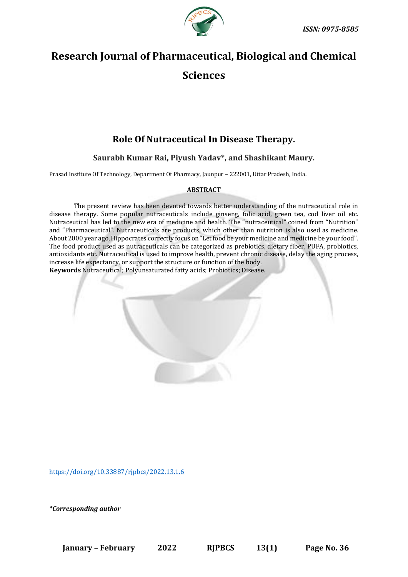

# **Research Journal of Pharmaceutical, Biological and Chemical Sciences**

## **Role Of Nutraceutical In Disease Therapy.**

### **Saurabh Kumar Rai, Piyush Yadav\*, and Shashikant Maury.**

Prasad Institute Of Technology, Department Of Pharmacy, Jaunpur – 222001, Uttar Pradesh, India.

#### **ABSTRACT**

The present review has been devoted towards better understanding of the nutraceutical role in disease therapy. Some popular nutraceuticals include ginseng, folic acid, green tea, cod liver oil etc. Nutraceutical has led to the new era of medicine and health. The "nutraceutical" coined from "Nutrition" and "Pharmaceutical". Nutraceuticals are products, which other than nutrition is also used as medicine. About 2000 year ago,Hippocrates correctly focus on "Letfood be your medicine and medicine be your food". The food product used as nutraceuticals can be categorized as prebiotics, dietary fiber, PUFA, probiotics, antioxidants etc. Nutraceutical is used to improve health, prevent chronic disease, delay the aging process, increase life expectancy, or support the structure or function of the body.

**Keywords** Nutraceutical; Polyunsaturated fatty acids; Probiotics; Disease.

[https://doi.org/10.33887/rjpbcs/2022.13.1.6](https://doi.org/10.33887/rjpbcs/2022.13.1.1)

*\*Corresponding author*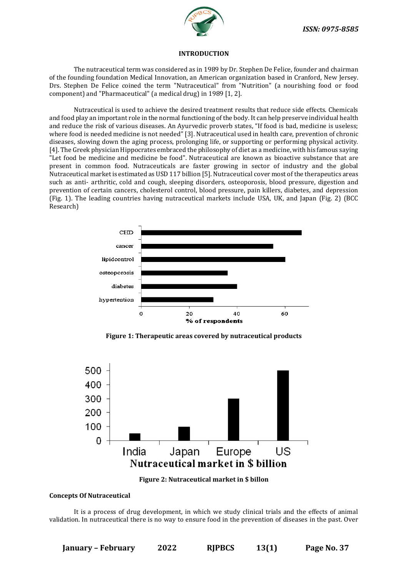

#### **INTRODUCTION**

The nutraceutical term was considered as in 1989 by Dr. Stephen De Felice, founder and chairman of the founding foundation Medical Innovation, an American organization based in Cranford, New Jersey. Drs. Stephen De Felice coined the term "Nutraceutical" from "Nutrition" (a nourishing food or food component) and "Pharmaceutical" (a medical drug) in 1989 [1, 2].

Nutraceutical is used to achieve the desired treatment results that reduce side effects. Chemicals and food play an important role in the normal functioning of the body. It can help preserve individual health and reduce the risk of various diseases. An Ayurvedic proverb states, "If food is bad, medicine is useless; where food is needed medicine is not needed" [3]. Nutraceutical used in health care, prevention of chronic diseases, slowing down the aging process, prolonging life, or supporting or performing physical activity. [4]. The Greek physician Hippocrates embraced the philosophy of diet as a medicine, with his famous saying "Let food be medicine and medicine be food". Nutraceutical are known as bioactive substance that are present in common food. Nutraceuticals are faster growing in sector of industry and the global Nutraceutical market is estimated as USD 117 billion [5]. Nutraceutical cover most of the therapeutics areas such as anti- arthritic, cold and cough, sleeping disorders, osteoporosis, blood pressure, digestion and prevention of certain cancers, cholesterol control, blood pressure, pain killers, diabetes, and depression (Fig. 1). The leading countries having nutraceutical markets include USA, UK, and Japan (Fig. 2) (BCC Research)



**Figure 1: Therapeutic areas covered by nutraceutical products**





#### **Concepts Of Nutraceutical**

It is a process of drug development, in which we study clinical trials and the effects of animal validation. In nutraceutical there is no way to ensure food in the prevention of diseases in the past. Over

**January – February 2022 RJPBCS 13(1) Page No. 37**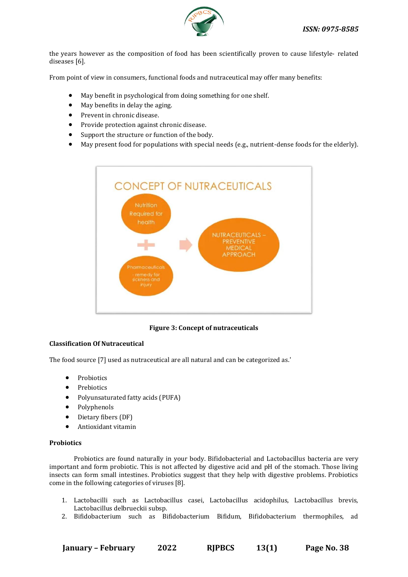

the years however as the composition of food has been scientifically proven to cause lifestyle- related diseases [6].

From point of view in consumers, functional foods and nutraceutical may offer many benefits:

- May benefit in psychological from doing something for one shelf.
- May benefits in delay the aging.
- Prevent in chronic disease.
- Provide protection against chronic disease.
- Support the structure or function of the body.
- May present food for populations with special needs (e.g., nutrient-dense foods for the elderly).



**Figure 3: Concept of nutraceuticals**

#### **Classification Of Nutraceutical**

The food source [7] used as nutraceutical are all natural and can be categorized as.'

- **Probiotics**
- **Prebiotics**
- Polyunsaturated fatty acids (PUFA)
- Polyphenols
- Dietary fibers (DF)
- Antioxidant vitamin

#### **Probiotics**

Probiotics are found naturally in your body. Bifidobacterial and Lactobacillus bacteria are very important and form probiotic. This is not affected by digestive acid and pH of the stomach. Those living insects can form small intestines. Probiotics suggest that they help with digestive problems. Probiotics come in the following categories of viruses [8].

- 1. Lactobacilli such as Lactobacillus casei, Lactobacillus acidophilus, Lactobacillus brevis, Lactobacillus delbrueckii subsp.
- 2. Bifidobacterium such as Bifidobacterium Bifidum, Bifidobacterium thermophiles, ad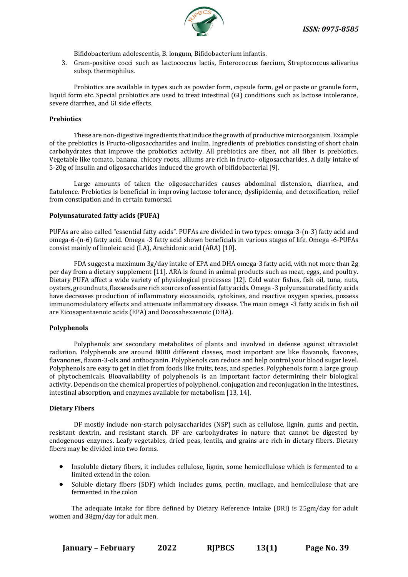

Bifidobacterium adolescentis, B. longum, Bifidobacterium infantis.

3. Gram-positive cocci such as Lactococcus lactis, Enterococcus faecium, Streptococcus salivarius subsp. thermophilus.

Probiotics are available in types such as powder form, capsule form, gel or paste or granule form, liquid form etc. Special probiotics are used to treat intestinal (GI) conditions such as lactose intolerance, severe diarrhea, and GI side effects.

#### **Prebiotics**

These are non-digestive ingredients that induce the growth of productive microorganism. Example of the prebiotics is Fructo-oligosaccharides and inulin. Ingredients of prebiotics consisting of short chain carbohydrates that improve the probiotics activity. All prebiotics are fiber, not all fiber is prebiotics. Vegetable like tomato, banana, chicory roots, alliums are rich in fructo- oligosaccharides. A daily intake of 5-20g of insulin and oligosaccharides induced the growth of bifidobacterial [9].

Large amounts of taken the oligosaccharides causes abdominal distension, diarrhea, and flatulence. Prebiotics is beneficial in improving lactose tolerance, dyslipidemia, and detoxification, relief from constipation and in certain tumorsxi.

#### **Polyunsaturated fatty acids (PUFA)**

PUFAs are also called "essential fatty acids". PUFAs are divided in two types: omega-3-(n-3) fatty acid and omega-6-(n-6) fatty acid. Omega -3 fatty acid shown beneficials in various stages of life. Omega -6-PUFAs consist mainly of linoleic acid (LA), Arachidonic acid (ARA) [10].

FDA suggest a maximum 3g/day intake of EPA and DHA omega-3 fatty acid, with not more than 2g per day from a dietary supplement [11]. ARA is found in animal products such as meat, eggs, and poultry. Dietary PUFA affect a wide variety of physiological processes [12]. Cold water fishes, fish oil, tuna, nuts, oysters, groundnuts, flaxseeds are rich sources of essential fatty acids. Omega -3 polyunsaturated fatty acids have decreases production of inflammatory eicosanoids, cytokines, and reactive oxygen species, possess immunomodulatory effects and attenuate inflammatory disease. The main omega -3 fatty acids in fish oil are Eicosapentaenoic acids (EPA) and Docosahexaenoic (DHA).

#### **Polyphenols**

Polyphenols are secondary metabolites of plants and involved in defense against ultraviolet radiation. Polyphenols are around 8000 different classes, most important are like flavanols, flavones, flavanones, flavan-3-ols and anthocyanin. Polyphenols can reduce and help control your blood sugar level. Polyphenols are easy to get in diet from foods like fruits, teas, and species. Polyphenols form a large group of phytochemicals. Bioavailability of polyphenols is an important factor determining their biological activity. Depends on the chemical properties of polyphenol, conjugation and reconjugation in the intestines, intestinal absorption, and enzymes available for metabolism [13, 14].

#### **Dietary Fibers**

DF mostly include non-starch polysaccharides (NSP) such as cellulose, lignin, gums and pectin, resistant dextrin, and resistant starch. DF are carbohydrates in nature that cannot be digested by endogenous enzymes. Leafy vegetables, dried peas, lentils, and grains are rich in dietary fibers. Dietary fibers may be divided into two forms.

- Insoluble dietary fibers, it includes cellulose, lignin, some hemicellulose which is fermented to a limited extend in the colon.
- Soluble dietary fibers (SDF) which includes gums, pectin, mucilage, and hemicellulose that are fermented in the colon

The adequate intake for fibre defined by Dietary Reference Intake (DRI) is 25gm/day for adult women and 38gm/day for adult men.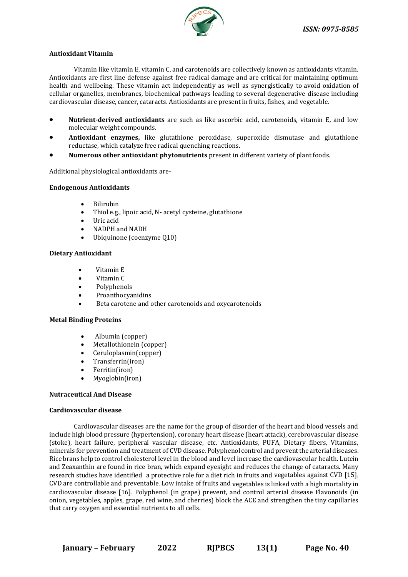

#### **Antioxidant Vitamin**

Vitamin like vitamin E, vitamin C, and carotenoids are collectively known as antioxidants vitamin. Antioxidants are first line defense against free radical damage and are critical for maintaining optimum health and wellbeing. These vitamin act independently as well as synergistically to avoid oxidation of cellular organelles, membranes, biochemical pathways leading to several degenerative disease including cardiovascular disease, cancer, cataracts. Antioxidants are present in fruits, fishes, and vegetable.

- **Nutrient-derived antioxidants** are such as like ascorbic acid, carotenoids, vitamin E, and low molecular weight compounds.
- **Antioxidant enzymes,** like glutathione peroxidase, superoxide dismutase and glutathione reductase, which catalyze free radical quenching reactions.
- **Numerous other antioxidant phytonutrients** present in different variety of plant foods.

Additional physiological antioxidants are-

#### **Endogenous Antioxidants**

- Bilirubin
- Thiol e.g., lipoic acid, N- acetyl cysteine, glutathione
- Uric acid
- NADPH and NADH
- Ubiquinone (coenzyme Q10)

#### **Dietary Antioxidant**

- Vitamin E
- Vitamin C
- Polyphenols
- **Proanthocyanidins**
- Beta carotene and other carotenoids and oxycarotenoids

#### **Metal Binding Proteins**

- Albumin (copper)
- Metallothionein (copper)
- Ceruloplasmin(copper)
- Transferrin(iron)
- Ferritin(iron)
- Myoglobin(iron)

#### **Nutraceutical And Disease**

#### **Cardiovascular disease**

Cardiovascular diseases are the name for the group of disorder of the heart and blood vessels and include high blood pressure (hypertension), coronary heart disease (heart attack), cerebrovascular disease (stoke), heart failure, peripheral vascular disease, etc. Antioxidants, PUFA, Dietary fibers, Vitamins, minerals for prevention and treatment of CVD disease. Polyphenol control and prevent the arterial diseases. Rice brans help to control cholesterol level in the blood and level increase the cardiovascular health. Lutein and Zeaxanthin are found in rice bran, which expand eyesight and reduces the change of cataracts. Many research studies have identified a protective role for a diet rich in fruits and vegetables against CVD [15]. CVD are controllable and preventable. Low intake of fruits and vegetables is linked with a high mortality in cardiovascular disease [16]. Polyphenol (in grape) prevent, and control arterial disease Flavonoids (in onion, vegetables, apples, grape, red wine, and cherries) block the ACE and strengthen the tiny capillaries that carry oxygen and essential nutrients to all cells.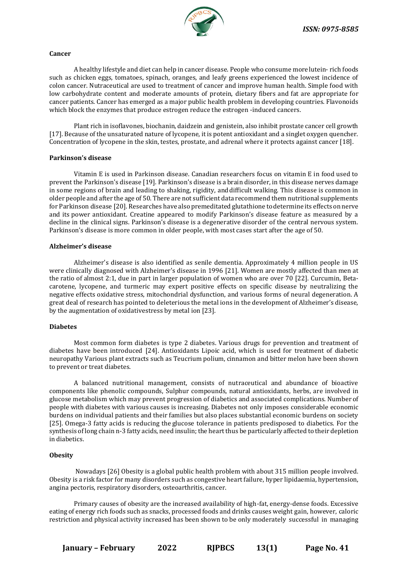

#### **Cancer**

A healthy lifestyle and diet can help in cancer disease. People who consume morelutein- rich foods such as chicken eggs, tomatoes, spinach, oranges, and leafy greens experienced the lowest incidence of colon cancer. Nutraceutical are used to treatment of cancer and improve human health. Simple food with low carbohydrate content and moderate amounts of protein, dietary fibers and fat are appropriate for cancer patients. Cancer has emerged as a major public health problem in developing countries. Flavonoids which block the enzymes that produce estrogen reduce the estrogen -induced cancers.

Plant rich in isoflavones, biochanin, daidzein and genistein, also inhibit prostate cancer cell growth [17]. Because of the unsaturated nature of lycopene, it is potent antioxidant and a singlet oxygen quencher. Concentration of lycopene in the skin, testes, prostate, and adrenal where it protects against cancer [18].

#### **Parkinson's disease**

Vitamin E is used in Parkinson disease. Canadian researchers focus on vitamin E in food used to prevent the Parkinson's disease [19]. Parkinson's disease is a brain disorder, in this disease nerves damage in some regions of brain and leading to shaking, rigidity, anddifficult walking. This disease is common in older people and after the age of 50. There are not sufficient data recommend them nutritional supplements for Parkinson disease [20]. Researches have also premeditated glutathione to determine its effects on nerve and its power antioxidant. Creatine appeared to modify Parkinson's disease feature as measured by a decline in the clinical signs. Parkinson's disease is a degenerative disorder of the central nervous system. Parkinson's disease is more common in older people, with most cases start after the age of 50.

#### **Alzheimer's disease**

Alzheimer's disease is also identified as senile dementia. Approximately 4 million people in US were clinically diagnosed with Alzheimer's disease in 1996 [21]. Women are mostly affected than men at the ratio of almost 2:1, due in part in larger population of women who are over 70 [22]. Curcumin, Betacarotene, lycopene, and turmeric may expert positive effects on specific disease by neutralizing the negative effects oxidative stress, mitochondrial dysfunction, and various forms of neural degeneration. A great deal of research has pointed to deleterious the metal ions in the development of Alzheimer's disease, by the augmentation of oxidativestress by metal ion [23].

#### **Diabetes**

Most common form diabetes is type 2 diabetes. Various drugs for prevention and treatment of diabetes have been introduced [24]. Antioxidants Lipoic acid, which is used for treatment of diabetic neuropathy Various plant extracts such as Teucrium polium, cinnamon and bitter melon have been shown to prevent or treat diabetes.

A balanced nutritional management, consists of nutraceutical and abundance of bioactive components like phenolic compounds, Sulphur compounds, natural antioxidants, herbs, are involved in glucose metabolism which may prevent progression of diabetics and associated complications. Number of people with diabetes with various causes is increasing. Diabetes not only imposes considerable economic burdens on individual patients and their families but also places substantial economic burdens on society [25]. Omega-3 fatty acids is reducing the glucose tolerance in patients predisposed to diabetics. For the synthesis of long chain n-3 fatty acids, need insulin; the heart thus be particularly affected to their depletion in diabetics.

#### **Obesity**

Nowadays [26] Obesity is a global public health problem with about 315 million people involved. Obesity is a risk factor for many disorders such as congestive heart failure, hyper lipidaemia, hypertension, angina pectoris, respiratory disorders, osteoarthritis, cancer.

Primary causes of obesity are the increased availability of high-fat, energy-dense foods. Excessive eating of energy rich foods such as snacks, processed foods and drinks causes weight gain, however, caloric restriction and physical activity increased has been shown to be only moderately successful in managing